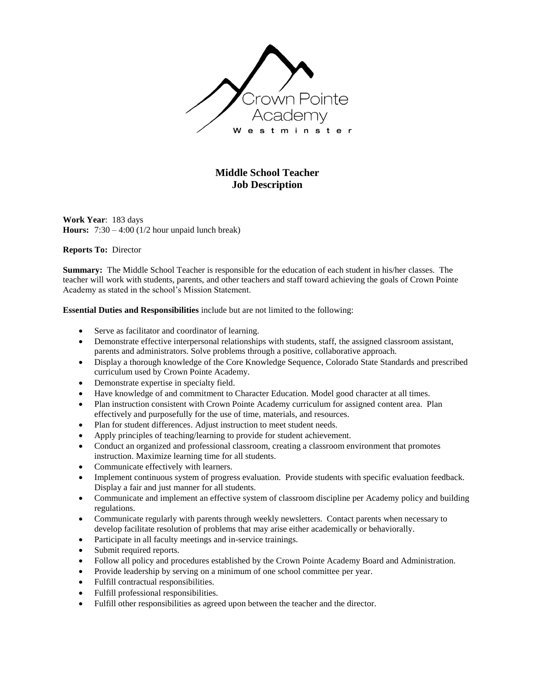

## **Middle School Teacher Job Description**

**Work Year**: 183 days **Hours:** 7:30 – 4:00 (1/2 hour unpaid lunch break)

## **Reports To:** Director

**Summary:** The Middle School Teacher is responsible for the education of each student in his/her classes. The teacher will work with students, parents, and other teachers and staff toward achieving the goals of Crown Pointe Academy as stated in the school's Mission Statement.

**Essential Duties and Responsibilities** include but are not limited to the following:

- Serve as facilitator and coordinator of learning.
- Demonstrate effective interpersonal relationships with students, staff, the assigned classroom assistant, parents and administrators. Solve problems through a positive, collaborative approach.
- Display a thorough knowledge of the Core Knowledge Sequence, Colorado State Standards and prescribed curriculum used by Crown Pointe Academy.
- Demonstrate expertise in specialty field.
- Have knowledge of and commitment to Character Education. Model good character at all times.
- Plan instruction consistent with Crown Pointe Academy curriculum for assigned content area. Plan effectively and purposefully for the use of time, materials, and resources.
- Plan for student differences. Adjust instruction to meet student needs.
- Apply principles of teaching/learning to provide for student achievement.
- Conduct an organized and professional classroom, creating a classroom environment that promotes instruction. Maximize learning time for all students.
- Communicate effectively with learners.
- Implement continuous system of progress evaluation. Provide students with specific evaluation feedback. Display a fair and just manner for all students.
- Communicate and implement an effective system of classroom discipline per Academy policy and building regulations.
- Communicate regularly with parents through weekly newsletters. Contact parents when necessary to develop facilitate resolution of problems that may arise either academically or behaviorally.
- Participate in all faculty meetings and in-service trainings.
- Submit required reports.
- Follow all policy and procedures established by the Crown Pointe Academy Board and Administration.
- Provide leadership by serving on a minimum of one school committee per year.
- Fulfill contractual responsibilities.
- Fulfill professional responsibilities.
- Fulfill other responsibilities as agreed upon between the teacher and the director.